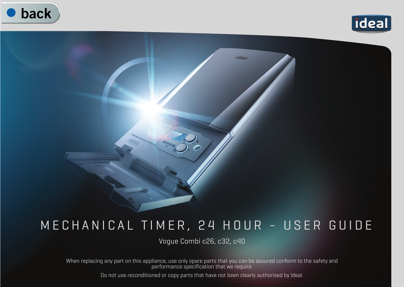



## Tdeal

## MECHANICAL TIMER, 24 HOUR - USER GUIDE

Vogue Combi c26, c32, c40

When replacing any part on this appliance, use only spare parts that you can be assured conform to the safety and performance specification that we require.

Do not use reconditioned or copy parts that have not been clearly authorised by Ideal.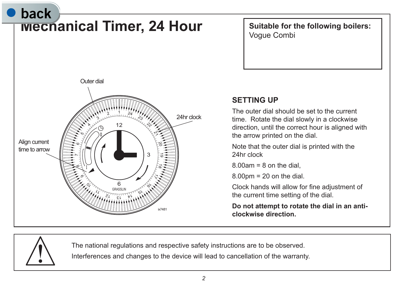

**Suitable for the following boilers:** Vogue Combi

## **SETTING UP**

The outer dial should be set to the current time. Rotate the dial slowly in a clockwise direction, until the correct hour is aligned with the arrow printed on the dial.

Note that the outer dial is printed with the 24hr clock

 $8.00$ am =  $8$  on the dial

 $8.00$ pm = 20 on the dial.

Clock hands will allow for fine adjustment of the current time setting of the dial.

**Do not attempt to rotate the dial in an anticlockwise direction.**



The national regulations and respective safety instructions are to be observed.

Interferences and changes to the device will lead to cancellation of the warranty.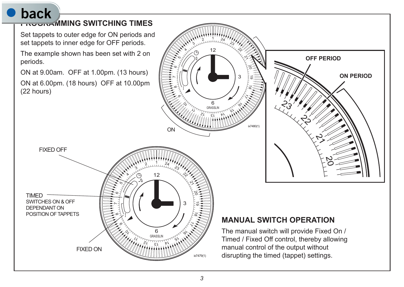## **back**



<sup>13</sup> 14